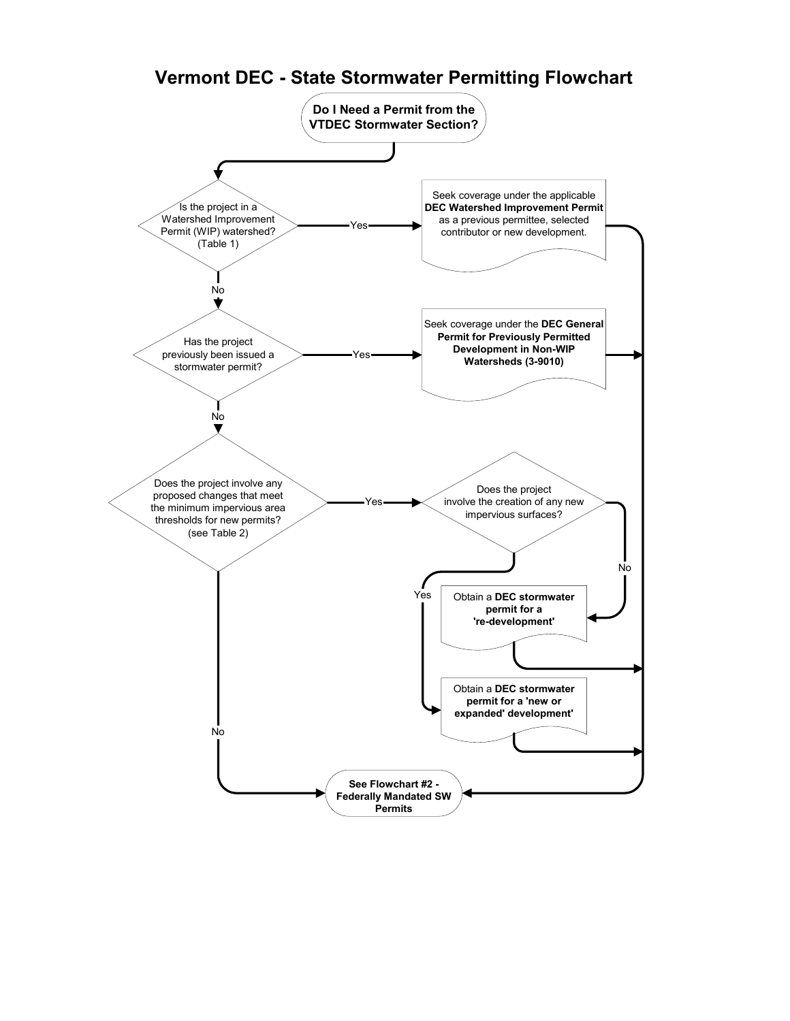#### **Do I Need a Permit from the VTDEC Stormwater Section?** Seek coverage under the applicable Is the project in a **DEC Watershed Improvement Permit** Watershed Improvement as a previous permittee, selected Yes a previous permittee, selected<br>contributor or new development. Permit (WIP) watershed? (Table 1) No ÷ Seek coverage under the **DEC General Permit for Previously Permitted** Has the project **Development in Non-WIP** previously been issued a Yes **Watersheds (3-9010)** stormwater permit? No Does the project involve any Does the project proposed changes that meet involve the creation of any new Yes the minimum impervious area impervious surfaces? thresholds for new permits? (see Table 2) No Yes Obtain a **DEC stormwater permit for a 're-development'** Obtain a **DEC stormwater permit for a 'new or expanded' development'** No **See Flowchart #2 - Federally Mandated SW**

**Permits**

# **Vermont DEC - State Stormwater Permitting Flowchart**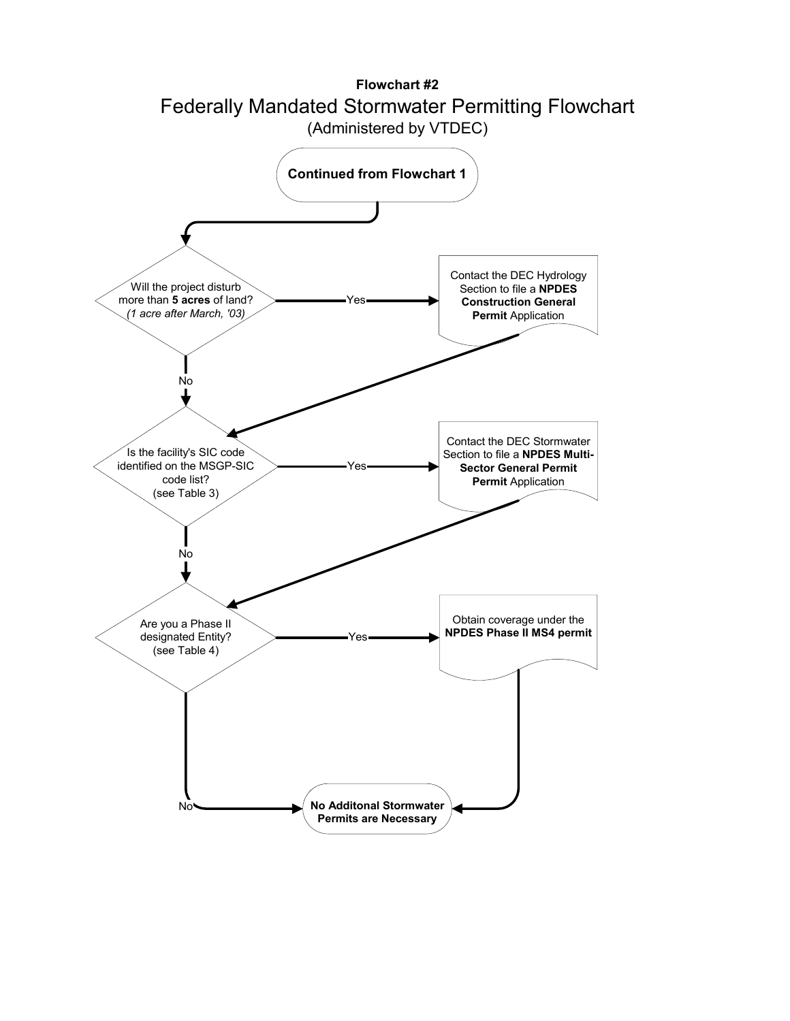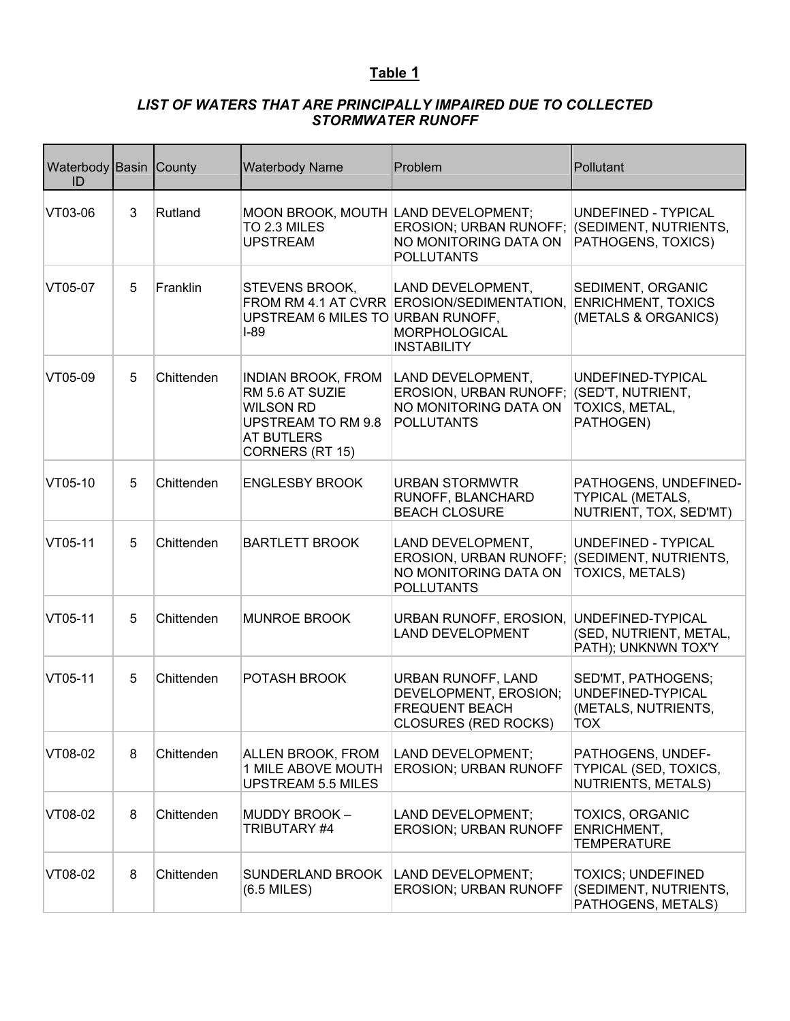#### *LIST OF WATERS THAT ARE PRINCIPALLY IMPAIRED DUE TO COLLECTED STORMWATER RUNOFF*

| Waterbody Basin County<br>ID |   |            | <b>Waterbody Name</b>                                                                                                          | Problem                                                                                                                   | Pollutant                                                                  |
|------------------------------|---|------------|--------------------------------------------------------------------------------------------------------------------------------|---------------------------------------------------------------------------------------------------------------------------|----------------------------------------------------------------------------|
| VT03-06                      | 3 | Rutland    | MOON BROOK, MOUTH LAND DEVELOPMENT;<br>TO 2.3 MILES<br><b>UPSTREAM</b>                                                         | EROSION; URBAN RUNOFF;<br>NO MONITORING DATA ON<br><b>POLLUTANTS</b>                                                      | UNDEFINED - TYPICAL<br>(SEDIMENT, NUTRIENTS,<br>PATHOGENS, TOXICS)         |
| VT05-07                      | 5 | Franklin   | <b>STEVENS BROOK,</b><br>UPSTREAM 6 MILES TO URBAN RUNOFF,<br>$I-89$                                                           | LAND DEVELOPMENT,<br>FROM RM 4.1 AT CVRR EROSION/SEDIMENTATION, ENRICHMENT, TOXICS<br>MORPHOLOGICAL<br><b>INSTABILITY</b> | SEDIMENT, ORGANIC<br>(METALS & ORGANICS)                                   |
| VT05-09                      | 5 | Chittenden | <b>INDIAN BROOK, FROM</b><br>RM 5.6 AT SUZIE<br><b>WILSON RD</b><br>UPSTREAM TO RM 9.8<br><b>AT BUTLERS</b><br>CORNERS (RT 15) | LAND DEVELOPMENT,<br><b>EROSION, URBAN RUNOFF;</b><br>NO MONITORING DATA ON<br><b>POLLUTANTS</b>                          | UNDEFINED-TYPICAL<br>(SED'T, NUTRIENT,<br>TOXICS, METAL,<br>PATHOGEN)      |
| VT05-10                      | 5 | Chittenden | <b>ENGLESBY BROOK</b>                                                                                                          | <b>URBAN STORMWTR</b><br>RUNOFF, BLANCHARD<br><b>BEACH CLOSURE</b>                                                        | PATHOGENS, UNDEFINED-<br><b>TYPICAL (METALS,</b><br>NUTRIENT, TOX, SED'MT) |
| VT05-11                      | 5 | Chittenden | <b>BARTLETT BROOK</b>                                                                                                          | LAND DEVELOPMENT,<br>EROSION, URBAN RUNOFF;<br>NO MONITORING DATA ON<br><b>POLLUTANTS</b>                                 | UNDEFINED - TYPICAL<br>(SEDIMENT, NUTRIENTS,<br><b>TOXICS, METALS)</b>     |
| VT05-11                      | 5 | Chittenden | <b>MUNROE BROOK</b>                                                                                                            | URBAN RUNOFF, EROSION,<br><b>LAND DEVELOPMENT</b>                                                                         | UNDEFINED-TYPICAL<br>(SED, NUTRIENT, METAL,<br>PATH); UNKNWN TOX'Y         |
| VT05-11                      | 5 | Chittenden | <b>POTASH BROOK</b>                                                                                                            | <b>URBAN RUNOFF, LAND</b><br>DEVELOPMENT, EROSION;<br><b>FREQUENT BEACH</b><br>CLOSURES (RED ROCKS)                       | SED'MT, PATHOGENS;<br>UNDEFINED-TYPICAL<br>(METALS, NUTRIENTS,<br>тох      |
| VT08-02                      | 8 | Chittenden | <b>ALLEN BROOK, FROM</b><br>1 MILE ABOVE MOUTH<br><b>UPSTREAM 5.5 MILES</b>                                                    | LAND DEVELOPMENT;<br><b>EROSION; URBAN RUNOFF</b>                                                                         | PATHOGENS, UNDEF-<br>TYPICAL (SED, TOXICS,<br>NUTRIENTS, METALS)           |
| VT08-02                      | 8 | Chittenden | <b>MUDDY BROOK -</b><br>TRIBUTARY #4                                                                                           | LAND DEVELOPMENT;<br><b>EROSION; URBAN RUNOFF</b>                                                                         | <b>TOXICS, ORGANIC</b><br>ENRICHMENT,<br><b>TEMPERATURE</b>                |
| VT08-02                      | 8 | Chittenden | SUNDERLAND BROOK<br>$(6.5$ MILES)                                                                                              | LAND DEVELOPMENT;<br><b>EROSION; URBAN RUNOFF</b>                                                                         | <b>TOXICS; UNDEFINED</b><br>(SEDIMENT, NUTRIENTS,<br>PATHOGENS, METALS)    |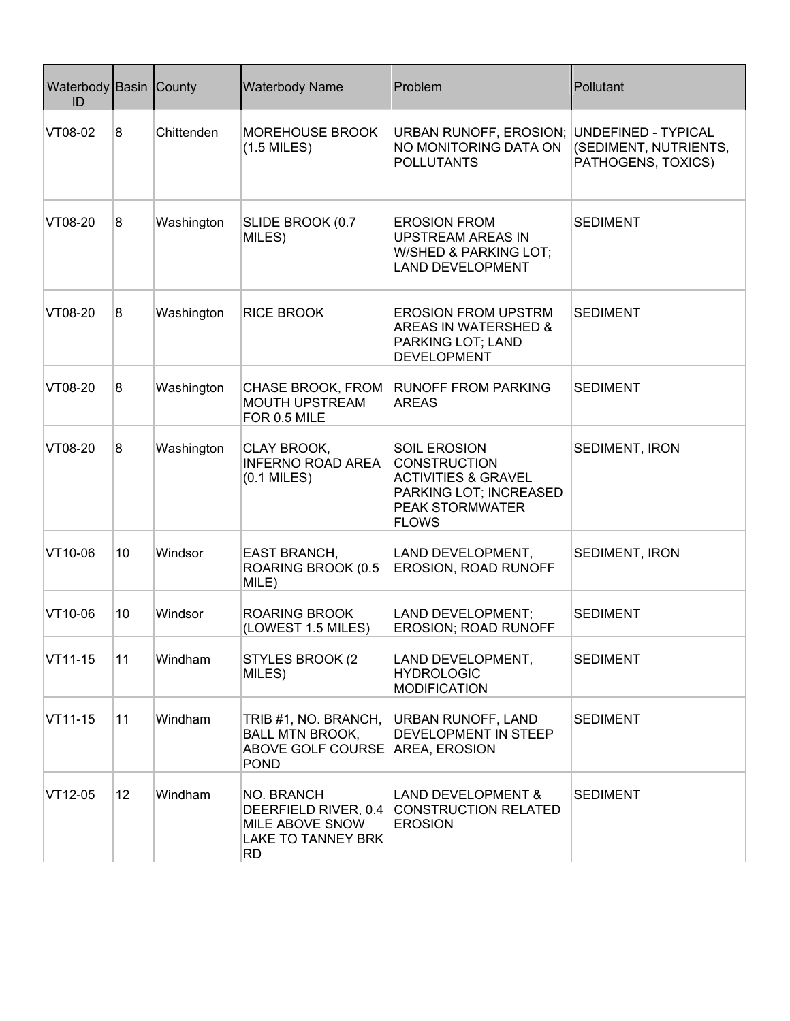| Waterbody Basin County<br>ID |    |            | <b>Waterbody Name</b>                                                                            | Problem                                                                                                                                          | Pollutant                                                          |
|------------------------------|----|------------|--------------------------------------------------------------------------------------------------|--------------------------------------------------------------------------------------------------------------------------------------------------|--------------------------------------------------------------------|
| VT08-02                      | 8  | Chittenden | <b>MOREHOUSE BROOK</b><br>$(1.5$ MILES)                                                          | URBAN RUNOFF, EROSION;<br>NO MONITORING DATA ON<br><b>POLLUTANTS</b>                                                                             | UNDEFINED - TYPICAL<br>(SEDIMENT, NUTRIENTS,<br>PATHOGENS, TOXICS) |
| VT08-20                      | 8  | Washington | SLIDE BROOK (0.7<br>MILES)                                                                       | <b>EROSION FROM</b><br><b>UPSTREAM AREAS IN</b><br>W/SHED & PARKING LOT;<br><b>LAND DEVELOPMENT</b>                                              | <b>SEDIMENT</b>                                                    |
| VT08-20                      | 8  | Washington | <b>RICE BROOK</b>                                                                                | <b>EROSION FROM UPSTRM</b><br><b>AREAS IN WATERSHED &amp;</b><br>PARKING LOT; LAND<br><b>DEVELOPMENT</b>                                         | <b>SEDIMENT</b>                                                    |
| VT08-20                      | 8  | Washington | CHASE BROOK, FROM<br><b>MOUTH UPSTREAM</b><br>FOR 0.5 MILE                                       | <b>RUNOFF FROM PARKING</b><br><b>AREAS</b>                                                                                                       | <b>SEDIMENT</b>                                                    |
| VT08-20                      | 8  | Washington | CLAY BROOK,<br><b>INFERNO ROAD AREA</b><br>$(0.1$ MILES)                                         | <b>SOIL EROSION</b><br><b>CONSTRUCTION</b><br><b>ACTIVITIES &amp; GRAVEL</b><br>PARKING LOT; INCREASED<br><b>PEAK STORMWATER</b><br><b>FLOWS</b> | SEDIMENT, IRON                                                     |
| VT10-06                      | 10 | Windsor    | <b>EAST BRANCH,</b><br>ROARING BROOK (0.5<br>MILE)                                               | LAND DEVELOPMENT,<br>EROSION, ROAD RUNOFF                                                                                                        | SEDIMENT, IRON                                                     |
| VT10-06                      | 10 | Windsor    | <b>ROARING BROOK</b><br>(LOWEST 1.5 MILES)                                                       | LAND DEVELOPMENT;<br>EROSION; ROAD RUNOFF                                                                                                        | <b>SEDIMENT</b>                                                    |
| VT11-15                      | 11 | Windham    | <b>STYLES BROOK (2)</b><br>MILES)                                                                | LAND DEVELOPMENT,<br><b>HYDROLOGIC</b><br><b>MODIFICATION</b>                                                                                    | <b>SEDIMENT</b>                                                    |
| VT11-15                      | 11 | Windham    | TRIB #1, NO. BRANCH,<br><b>BALL MTN BROOK,</b><br>ABOVE GOLF COURSE AREA, EROSION<br><b>POND</b> | URBAN RUNOFF, LAND<br>DEVELOPMENT IN STEEP                                                                                                       | <b>SEDIMENT</b>                                                    |
| VT12-05                      | 12 | Windham    | NO. BRANCH<br>DEERFIELD RIVER, 0.4<br>MILE ABOVE SNOW<br><b>LAKE TO TANNEY BRK</b><br><b>RD</b>  | <b>LAND DEVELOPMENT &amp;</b><br><b>CONSTRUCTION RELATED</b><br><b>EROSION</b>                                                                   | <b>SEDIMENT</b>                                                    |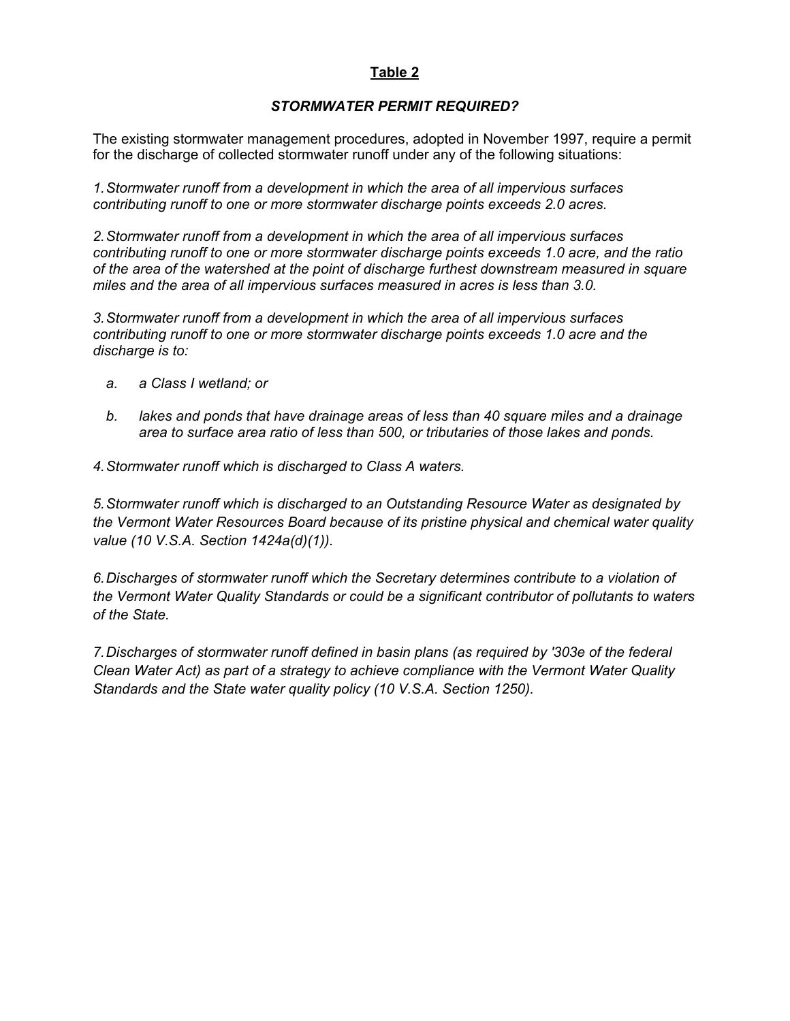#### *STORMWATER PERMIT REQUIRED?*

The existing stormwater management procedures, adopted in November 1997, require a permit for the discharge of collected stormwater runoff under any of the following situations:

*1. Stormwater runoff from a development in which the area of all impervious surfaces contributing runoff to one or more stormwater discharge points exceeds 2.0 acres.* 

*2. Stormwater runoff from a development in which the area of all impervious surfaces contributing runoff to one or more stormwater discharge points exceeds 1.0 acre, and the ratio of the area of the watershed at the point of discharge furthest downstream measured in square miles and the area of all impervious surfaces measured in acres is less than 3.0.* 

*3. Stormwater runoff from a development in which the area of all impervious surfaces contributing runoff to one or more stormwater discharge points exceeds 1.0 acre and the discharge is to:* 

- *a. a Class I wetland; or*
- *b. lakes and ponds that have drainage areas of less than 40 square miles and a drainage area to surface area ratio of less than 500, or tributaries of those lakes and ponds.*

*4. Stormwater runoff which is discharged to Class A waters.* 

*5. Stormwater runoff which is discharged to an Outstanding Resource Water as designated by the Vermont Water Resources Board because of its pristine physical and chemical water quality value (10 V.S.A. Section 1424a(d)(1)).* 

*6. Discharges of stormwater runoff which the Secretary determines contribute to a violation of the Vermont Water Quality Standards or could be a significant contributor of pollutants to waters of the State.* 

*7. Discharges of stormwater runoff defined in basin plans (as required by '303e of the federal Clean Water Act) as part of a strategy to achieve compliance with the Vermont Water Quality Standards and the State water quality policy (10 V.S.A. Section 1250).*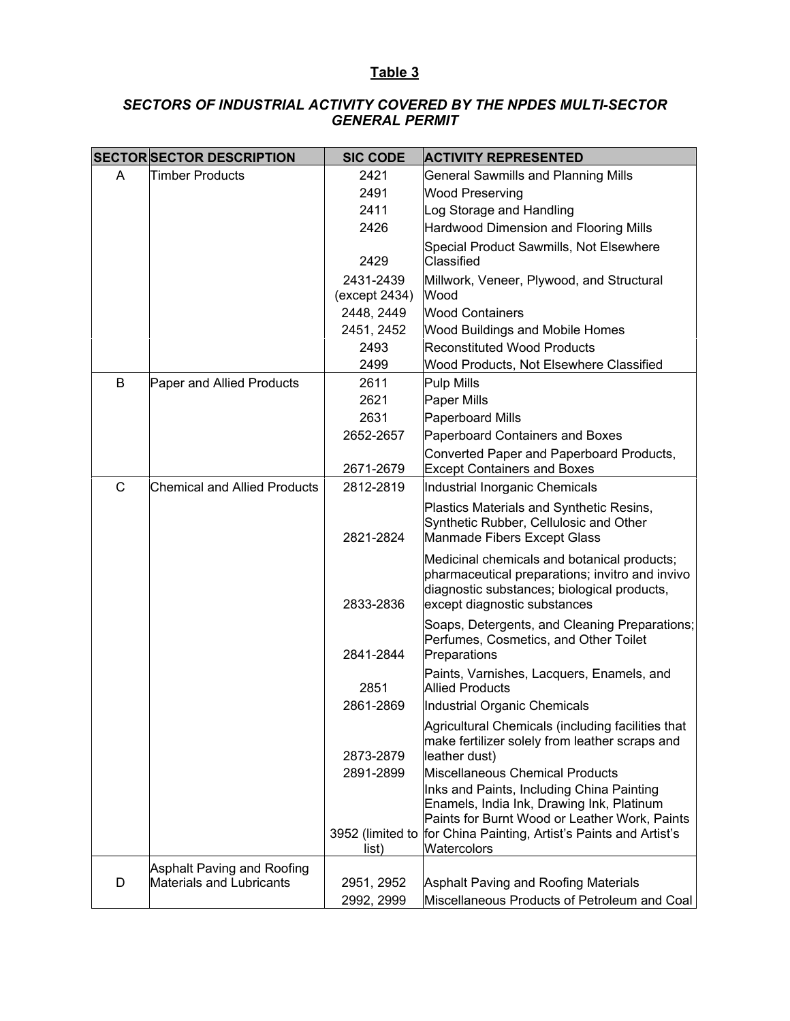#### *SECTORS OF INDUSTRIAL ACTIVITY COVERED BY THE NPDES MULTI-SECTOR GENERAL PERMIT*

|              | <b>SECTOR SECTOR DESCRIPTION</b>    | <b>SIC CODE</b>            | <b>ACTIVITY REPRESENTED</b>                                                                                                                                                                                |
|--------------|-------------------------------------|----------------------------|------------------------------------------------------------------------------------------------------------------------------------------------------------------------------------------------------------|
| A            | <b>Timber Products</b>              | 2421                       | <b>General Sawmills and Planning Mills</b>                                                                                                                                                                 |
|              |                                     | 2491                       | <b>Wood Preserving</b>                                                                                                                                                                                     |
|              |                                     | 2411                       | Log Storage and Handling                                                                                                                                                                                   |
|              |                                     | 2426                       | Hardwood Dimension and Flooring Mills                                                                                                                                                                      |
|              |                                     | 2429                       | Special Product Sawmills, Not Elsewhere<br>Classified                                                                                                                                                      |
|              |                                     | 2431-2439<br>(except 2434) | Millwork, Veneer, Plywood, and Structural<br>Wood                                                                                                                                                          |
|              |                                     | 2448, 2449                 | <b>Wood Containers</b>                                                                                                                                                                                     |
|              |                                     | 2451, 2452                 | <b>Wood Buildings and Mobile Homes</b>                                                                                                                                                                     |
|              |                                     | 2493                       | <b>Reconstituted Wood Products</b>                                                                                                                                                                         |
|              |                                     | 2499                       | Wood Products, Not Elsewhere Classified                                                                                                                                                                    |
| B            | Paper and Allied Products           | 2611                       | Pulp Mills                                                                                                                                                                                                 |
|              |                                     | 2621                       | Paper Mills                                                                                                                                                                                                |
|              |                                     | 2631                       | Paperboard Mills                                                                                                                                                                                           |
|              |                                     | 2652-2657                  | Paperboard Containers and Boxes                                                                                                                                                                            |
|              |                                     | 2671-2679                  | Converted Paper and Paperboard Products,<br><b>Except Containers and Boxes</b>                                                                                                                             |
| $\mathsf{C}$ | <b>Chemical and Allied Products</b> | 2812-2819                  | Industrial Inorganic Chemicals                                                                                                                                                                             |
|              |                                     | 2821-2824                  | Plastics Materials and Synthetic Resins,<br>Synthetic Rubber, Cellulosic and Other<br>Manmade Fibers Except Glass                                                                                          |
|              |                                     | 2833-2836                  | Medicinal chemicals and botanical products;<br>pharmaceutical preparations; invitro and invivo<br>diagnostic substances; biological products,<br>except diagnostic substances                              |
|              |                                     | 2841-2844                  | Soaps, Detergents, and Cleaning Preparations;<br>Perfumes, Cosmetics, and Other Toilet<br>Preparations                                                                                                     |
|              |                                     | 2851                       | Paints, Varnishes, Lacquers, Enamels, and<br><b>Allied Products</b>                                                                                                                                        |
|              |                                     | 2861-2869                  | Industrial Organic Chemicals                                                                                                                                                                               |
|              |                                     | 2873-2879                  | Agricultural Chemicals (including facilities that<br>make fertilizer solely from leather scraps and<br>leather dust)                                                                                       |
|              |                                     | 2891-2899                  | Miscellaneous Chemical Products                                                                                                                                                                            |
|              |                                     | 3952 (limited to<br>list)  | Inks and Paints, Including China Painting<br>Enamels, India Ink, Drawing Ink, Platinum<br>Paints for Burnt Wood or Leather Work, Paints<br>for China Painting, Artist's Paints and Artist's<br>Watercolors |
|              | Asphalt Paving and Roofing          |                            |                                                                                                                                                                                                            |
| D            | <b>Materials and Lubricants</b>     | 2951, 2952                 | Asphalt Paving and Roofing Materials                                                                                                                                                                       |
|              |                                     | 2992, 2999                 | Miscellaneous Products of Petroleum and Coal                                                                                                                                                               |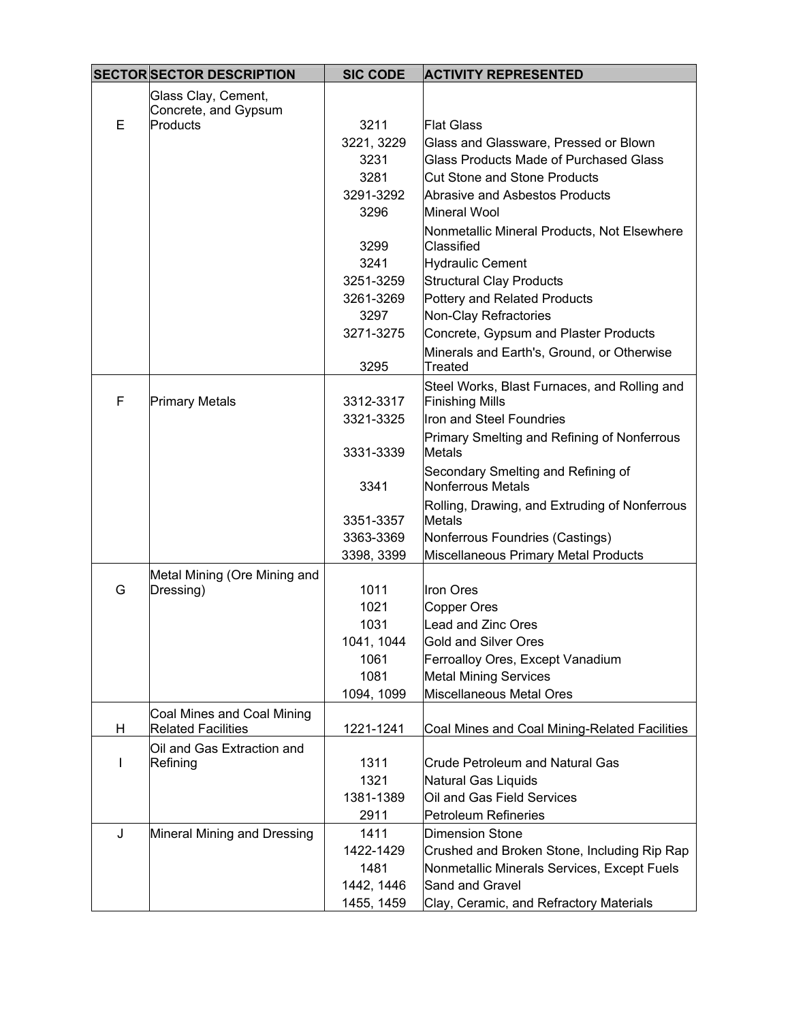|   | <b>SECTOR SECTOR DESCRIPTION</b>                        | <b>SIC CODE</b> | <b>ACTIVITY REPRESENTED</b>                                    |
|---|---------------------------------------------------------|-----------------|----------------------------------------------------------------|
|   | Glass Clay, Cement,                                     |                 |                                                                |
|   | Concrete, and Gypsum                                    |                 |                                                                |
| E | Products                                                | 3211            | <b>Flat Glass</b>                                              |
|   |                                                         | 3221, 3229      | Glass and Glassware, Pressed or Blown                          |
|   |                                                         | 3231            | Glass Products Made of Purchased Glass                         |
|   |                                                         | 3281            | <b>Cut Stone and Stone Products</b>                            |
|   |                                                         | 3291-3292       | Abrasive and Asbestos Products                                 |
|   |                                                         | 3296            | Mineral Wool                                                   |
|   |                                                         | 3299            | Nonmetallic Mineral Products, Not Elsewhere<br>Classified      |
|   |                                                         | 3241            | <b>Hydraulic Cement</b>                                        |
|   |                                                         | 3251-3259       | <b>Structural Clay Products</b>                                |
|   |                                                         | 3261-3269       | Pottery and Related Products                                   |
|   |                                                         | 3297            | Non-Clay Refractories                                          |
|   |                                                         | 3271-3275       | Concrete, Gypsum and Plaster Products                          |
|   |                                                         |                 | Minerals and Earth's, Ground, or Otherwise                     |
|   |                                                         | 3295            | Treated                                                        |
|   |                                                         |                 | Steel Works, Blast Furnaces, and Rolling and                   |
| F | <b>Primary Metals</b>                                   | 3312-3317       | <b>Finishing Mills</b>                                         |
|   |                                                         | 3321-3325       | Iron and Steel Foundries                                       |
|   |                                                         | 3331-3339       | Primary Smelting and Refining of Nonferrous<br><b>Metals</b>   |
|   |                                                         | 3341            | Secondary Smelting and Refining of<br>Nonferrous Metals        |
|   |                                                         | 3351-3357       | Rolling, Drawing, and Extruding of Nonferrous<br><b>Metals</b> |
|   |                                                         | 3363-3369       | Nonferrous Foundries (Castings)                                |
|   |                                                         | 3398, 3399      | Miscellaneous Primary Metal Products                           |
|   | Metal Mining (Ore Mining and                            |                 |                                                                |
| G | Dressing)                                               | 1011            | <b>Iron Ores</b>                                               |
|   |                                                         | 1021            | Copper Ores                                                    |
|   |                                                         | 1031            | Lead and Zinc Ores                                             |
|   |                                                         | 1041, 1044      | Gold and Silver Ores                                           |
|   |                                                         | 1061            | Ferroalloy Ores, Except Vanadium                               |
|   |                                                         | 1081            | <b>Metal Mining Services</b>                                   |
|   |                                                         | 1094, 1099      | Miscellaneous Metal Ores                                       |
| H | Coal Mines and Coal Mining<br><b>Related Facilities</b> | 1221-1241       | Coal Mines and Coal Mining-Related Facilities                  |
|   | Oil and Gas Extraction and                              |                 |                                                                |
| I | Refining                                                | 1311            | <b>Crude Petroleum and Natural Gas</b>                         |
|   |                                                         | 1321            | Natural Gas Liquids                                            |
|   |                                                         | 1381-1389       | Oil and Gas Field Services                                     |
|   |                                                         | 2911            | Petroleum Refineries                                           |
| J | Mineral Mining and Dressing                             | 1411            | <b>Dimension Stone</b>                                         |
|   |                                                         | 1422-1429       | Crushed and Broken Stone, Including Rip Rap                    |
|   |                                                         | 1481            | Nonmetallic Minerals Services, Except Fuels                    |
|   |                                                         | 1442, 1446      | Sand and Gravel                                                |
|   |                                                         | 1455, 1459      | Clay, Ceramic, and Refractory Materials                        |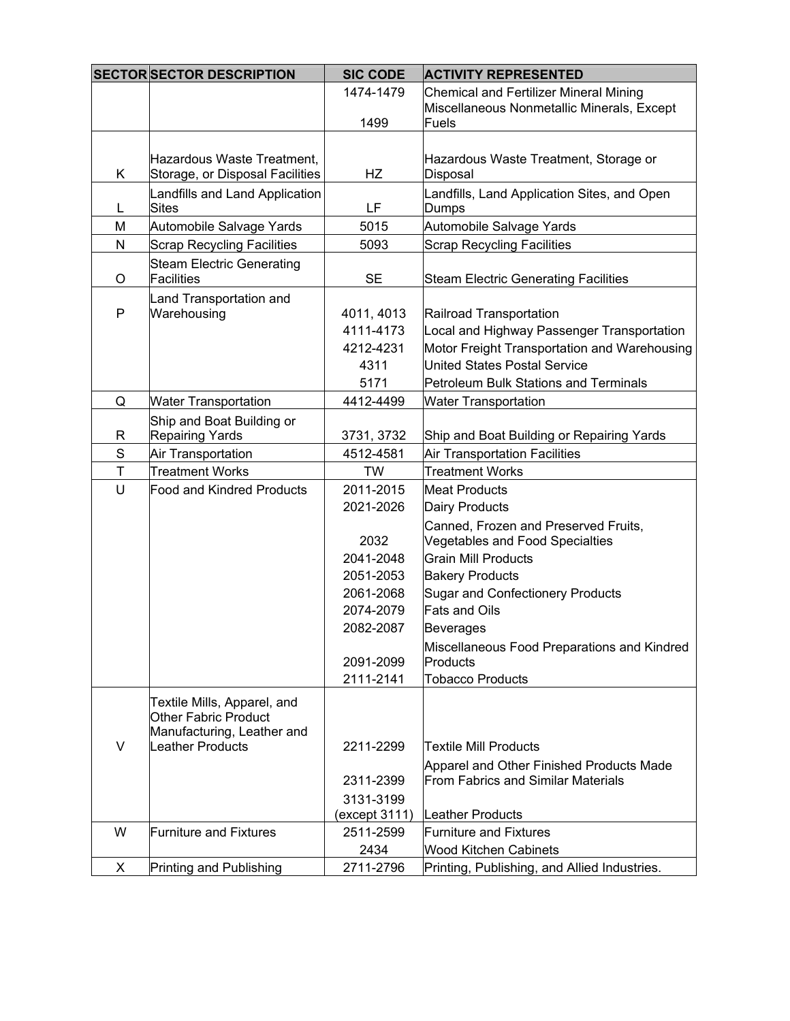|              | <b>SECTOR SECTOR DESCRIPTION</b>                              | <b>SIC CODE</b>                      | <b>ACTIVITY REPRESENTED</b>                                                                                           |
|--------------|---------------------------------------------------------------|--------------------------------------|-----------------------------------------------------------------------------------------------------------------------|
|              |                                                               | 1474-1479                            | Chemical and Fertilizer Mineral Mining<br>Miscellaneous Nonmetallic Minerals, Except                                  |
|              |                                                               | 1499                                 | <b>Fuels</b>                                                                                                          |
|              |                                                               |                                      |                                                                                                                       |
| Κ            | Hazardous Waste Treatment,<br>Storage, or Disposal Facilities | HZ                                   | Hazardous Waste Treatment, Storage or<br>Disposal                                                                     |
| L            | Landfills and Land Application<br><b>Sites</b>                | LF                                   | Landfills, Land Application Sites, and Open<br>Dumps                                                                  |
| M            | Automobile Salvage Yards                                      | 5015                                 | Automobile Salvage Yards                                                                                              |
| $\mathsf{N}$ | <b>Scrap Recycling Facilities</b>                             | 5093                                 | <b>Scrap Recycling Facilities</b>                                                                                     |
| O            | <b>Steam Electric Generating</b><br><b>Facilities</b>         | <b>SE</b>                            | <b>Steam Electric Generating Facilities</b>                                                                           |
| P            | Land Transportation and<br>Warehousing                        | 4011, 4013<br>4111-4173<br>4212-4231 | Railroad Transportation<br>Local and Highway Passenger Transportation<br>Motor Freight Transportation and Warehousing |
|              |                                                               | 4311                                 | <b>United States Postal Service</b>                                                                                   |
|              |                                                               | 5171                                 | Petroleum Bulk Stations and Terminals                                                                                 |
| Q            | <b>Water Transportation</b>                                   | 4412-4499                            | <b>Water Transportation</b>                                                                                           |
| R            | Ship and Boat Building or<br><b>Repairing Yards</b>           | 3731, 3732                           | Ship and Boat Building or Repairing Yards                                                                             |
| $\mathbf S$  | Air Transportation                                            | 4512-4581                            | <b>Air Transportation Facilities</b>                                                                                  |
| $\bar{T}$    | <b>Treatment Works</b>                                        | <b>TW</b>                            | <b>Treatment Works</b>                                                                                                |
| U            | <b>Food and Kindred Products</b>                              | 2011-2015                            | <b>Meat Products</b>                                                                                                  |
|              |                                                               | 2021-2026                            | Dairy Products                                                                                                        |
|              |                                                               | 2032                                 | Canned, Frozen and Preserved Fruits,<br><b>Vegetables and Food Specialties</b>                                        |
|              |                                                               | 2041-2048                            | <b>Grain Mill Products</b>                                                                                            |
|              |                                                               | 2051-2053                            | <b>Bakery Products</b>                                                                                                |
|              |                                                               | 2061-2068                            | <b>Sugar and Confectionery Products</b>                                                                               |
|              |                                                               | 2074-2079                            | <b>Fats and Oils</b>                                                                                                  |
|              |                                                               | 2082-2087                            | <b>Beverages</b>                                                                                                      |
|              |                                                               | 2091-2099                            | Miscellaneous Food Preparations and Kindred<br>Products                                                               |
|              |                                                               | 2111-2141                            | <b>Tobacco Products</b>                                                                                               |
|              | Textile Mills, Apparel, and<br><b>Other Fabric Product</b>    |                                      |                                                                                                                       |
| $\vee$       | Manufacturing, Leather and<br><b>Leather Products</b>         | 2211-2299                            | <b>Textile Mill Products</b>                                                                                          |
|              |                                                               |                                      |                                                                                                                       |
|              |                                                               | 2311-2399                            | Apparel and Other Finished Products Made<br><b>From Fabrics and Similar Materials</b>                                 |
|              |                                                               | 3131-3199                            |                                                                                                                       |
|              |                                                               | (except 3111)                        | Leather Products                                                                                                      |
| W            | <b>Furniture and Fixtures</b>                                 | 2511-2599                            | <b>Furniture and Fixtures</b>                                                                                         |
|              |                                                               | 2434                                 | <b>Wood Kitchen Cabinets</b>                                                                                          |
| X            | Printing and Publishing                                       | 2711-2796                            | Printing, Publishing, and Allied Industries.                                                                          |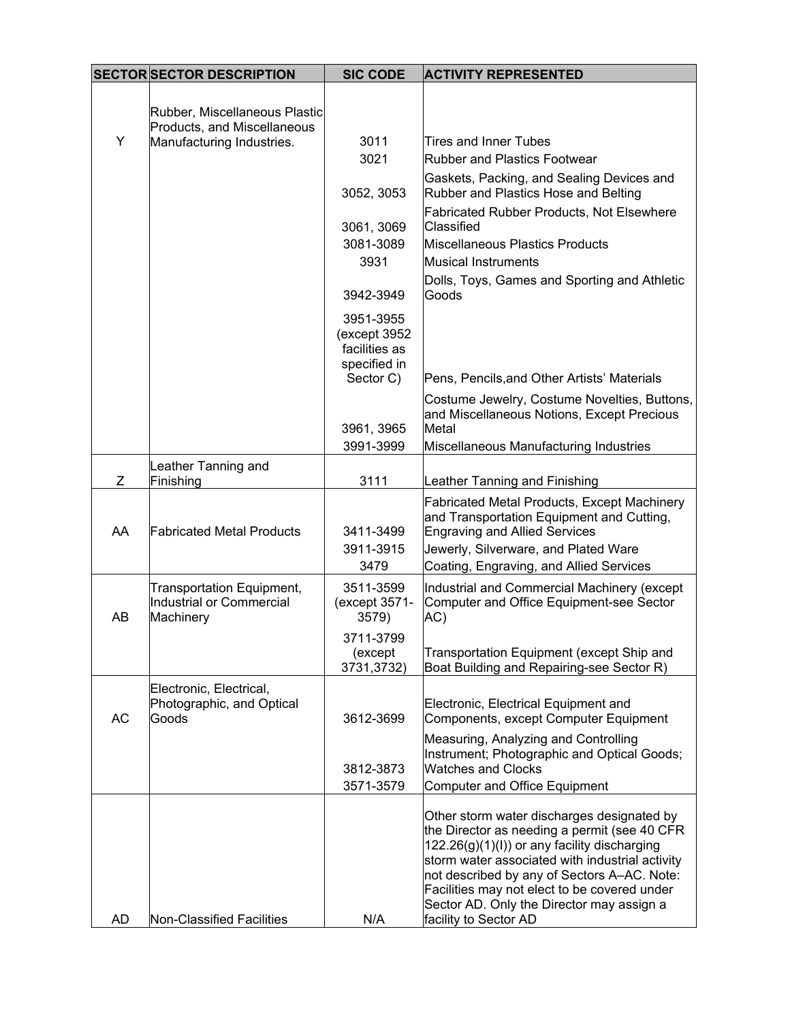|           | <b>SECTOR SECTOR DESCRIPTION</b>                                          | <b>SIC CODE</b>                                                         | <b>ACTIVITY REPRESENTED</b>                                                                                                                                                                                                                                                                                                                                        |
|-----------|---------------------------------------------------------------------------|-------------------------------------------------------------------------|--------------------------------------------------------------------------------------------------------------------------------------------------------------------------------------------------------------------------------------------------------------------------------------------------------------------------------------------------------------------|
|           | Rubber, Miscellaneous Plastic<br>Products, and Miscellaneous              |                                                                         |                                                                                                                                                                                                                                                                                                                                                                    |
| Y         | Manufacturing Industries.                                                 | 3011<br>3021                                                            | <b>Tires and Inner Tubes</b><br><b>Rubber and Plastics Footwear</b>                                                                                                                                                                                                                                                                                                |
|           |                                                                           | 3052, 3053                                                              | Gaskets, Packing, and Sealing Devices and<br>Rubber and Plastics Hose and Belting                                                                                                                                                                                                                                                                                  |
|           |                                                                           | 3061, 3069<br>3081-3089<br>3931                                         | <b>Fabricated Rubber Products, Not Elsewhere</b><br><b>Classified</b><br>Miscellaneous Plastics Products<br>Musical Instruments                                                                                                                                                                                                                                    |
|           |                                                                           | 3942-3949                                                               | Dolls, Toys, Games and Sporting and Athletic<br>Goods                                                                                                                                                                                                                                                                                                              |
|           |                                                                           | 3951-3955<br>(except 3952<br>facilities as<br>specified in<br>Sector C) | Pens, Pencils, and Other Artists' Materials                                                                                                                                                                                                                                                                                                                        |
|           |                                                                           | 3961, 3965<br>3991-3999                                                 | Costume Jewelry, Costume Novelties, Buttons,<br>and Miscellaneous Notions, Except Precious<br>Metal                                                                                                                                                                                                                                                                |
|           | Leather Tanning and                                                       |                                                                         | Miscellaneous Manufacturing Industries                                                                                                                                                                                                                                                                                                                             |
| Z         | Finishing                                                                 | 3111                                                                    | Leather Tanning and Finishing                                                                                                                                                                                                                                                                                                                                      |
| AA        | <b>Fabricated Metal Products</b>                                          | 3411-3499<br>3911-3915<br>3479                                          | <b>Fabricated Metal Products, Except Machinery</b><br>and Transportation Equipment and Cutting,<br><b>Engraving and Allied Services</b><br>Jewerly, Silverware, and Plated Ware<br>Coating, Engraving, and Allied Services                                                                                                                                         |
| AB        | <b>Transportation Equipment,</b><br>Industrial or Commercial<br>Machinery | 3511-3599<br>(except 3571-<br>3579)                                     | Industrial and Commercial Machinery (except<br>Computer and Office Equipment-see Sector<br>AC)                                                                                                                                                                                                                                                                     |
|           |                                                                           | 3711-3799<br>(except<br>3731,3732)                                      | Transportation Equipment (except Ship and<br>Boat Building and Repairing-see Sector R)                                                                                                                                                                                                                                                                             |
| <b>AC</b> | Electronic, Electrical,<br>Photographic, and Optical<br>Goods             | 3612-3699                                                               | Electronic, Electrical Equipment and<br>Components, except Computer Equipment                                                                                                                                                                                                                                                                                      |
|           |                                                                           | 3812-3873<br>3571-3579                                                  | Measuring, Analyzing and Controlling<br>Instrument; Photographic and Optical Goods;<br><b>Watches and Clocks</b><br>Computer and Office Equipment                                                                                                                                                                                                                  |
| AD        | <b>Non-Classified Facilities</b>                                          | N/A                                                                     | Other storm water discharges designated by<br>the Director as needing a permit (see 40 CFR<br>122.26(g)(1)(l)) or any facility discharging<br>storm water associated with industrial activity<br>not described by any of Sectors A-AC. Note:<br>Facilities may not elect to be covered under<br>Sector AD. Only the Director may assign a<br>facility to Sector AD |